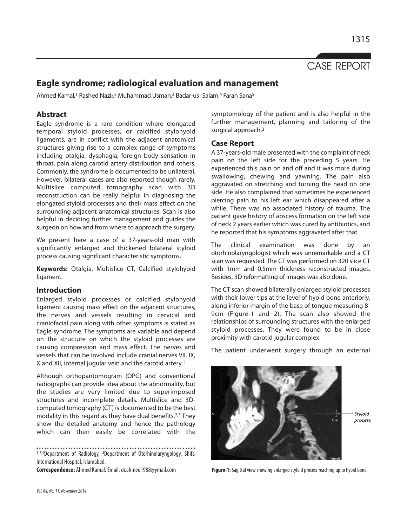

1315

# **Eagle syndrome; radiological evaluation and management**

Ahmed Kamal,<sup>1</sup> Rashed Nazir,<sup>2</sup> Muhammad Usman,<sup>3</sup> Badar-us- Salam,<sup>4</sup> Farah Sana<sup>5</sup>

## **Abstract**

Eagle syndrome is a rare condition where elongated temporal styloid processes, or calcified stylohyoid ligaments, are in conflict with the adjacent anatomical structures giving rise to a complex range of symptoms including otalgia, dysphagia, foreign body sensation in throat, pain along carotid artery distribution and others. Commonly, the syndrome is documented to be unilateral. However, bilateral cases are also reported though rarely. Multislice computed tomography scan with 3D reconstruction can be really helpful in diagnosing the elongated styloid processes and their mass effect on the surrounding adjacent anatomical structures. Scan is also helpful in deciding further management and guides the surgeon on how and from where to approach the surgery.

We present here a case of a 37-years-old man with significantly enlarged and thickened bilateral styloid process causing significant characteristic symptoms.

**Keywords:** Otalgia, Multislice CT, Calcified stylohyoid ligament.

## **Introduction**

Enlarged styloid processes or calcified stylohyoid ligament causing mass effect on the adjacent structures, the nerves and vessels resulting in cervical and craniofacial pain along with other symptoms is stated as Eagle syndrome. The symptoms are variable and depend on the structure on which the styloid processes are causing compression and mass effect. The nerves and vessels that can be involved include cranial nerves VII, IX, X and XII, internal jugular vein and the carotid artery.<sup>1</sup>

Although orthopantomogram (OPG) and conventional radiographs can provide idea about the abnormality, but the studies are very limited due to superimposed structures and incomplete details. Multislice and 3Dcomputed tomography (CT) is documented to be the best modality in this regard as they have dual benefits.2,3 They show the detailed anatomy and hence the pathology which can then easily be correlated with the

1-3,5Department of Radiology, <sup>4</sup>Department of Otorhinolaryngology, Shifa International Hospital, Islamabad.

symptomology of the patient and is also helpful in the further management, planning and tailoring of the surgical approach.<sup>3</sup>

### **Case Report**

A 37-years-old male presented with the complaint of neck pain on the left side for the preceding 5 years. He experienced this pain on and off and it was more during swallowing, chewing and yawning. The pain also aggravated on stretching and turning the head on one side. He also complained that sometimes he experienced piercing pain to his left ear which disappeared after a while. There was no associated history of trauma. The patient gave history of abscess formation on the left side of neck 2 years earlier which was cured by antibiotics, and he reported that his symptoms aggravated after that.

The clinical examination was done by an otorhinolaryngologist which was unremarkable and a CT scan was requested. The CT was performed on 320 slice CT with 1mm and 0.5mm thickness reconstructed images. Besides, 3D reformatting of images was also done.

The CT scan showed bilaterally enlarged styloid processes with their lower tips at the level of hyoid bone anteriorly, along inferior margin of the base of tongue measuring 8- 9cm (Figure-1 and 2). The scan also showed the relationships of surrounding structures with the enlarged styloid processes. They were found to be in close proximity with carotid jugular complex.

The patient underwent surgery through an external



**Correspondence:** Ahmed Kamal. Email: dr.ahmed1988@ymail.com **Figure-1:** Sagittal view showing enlarged styloid process reaching up to hyoid bone.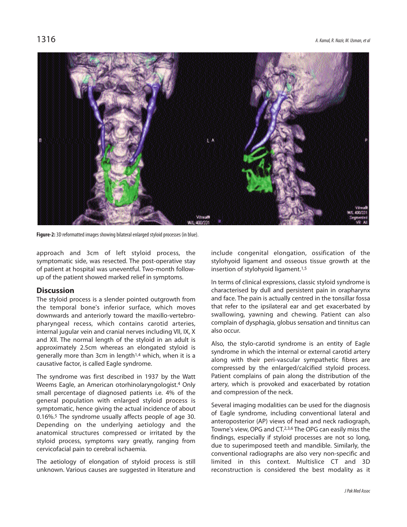

**Figure-2:** 3D reformatted images showing bilateral enlarged styloid processes (in blue).

approach and 3cm of left styloid process, the symptomatic side, was resected. The post-operative stay of patient at hospital was uneventful. Two-month followup of the patient showed marked relief in symptoms.

## **Discussion**

The styloid process is a slender pointed outgrowth from the temporal bone's inferior surface, which moves downwards and anteriorly toward the maxillo-vertebropharyngeal recess, which contains carotid arteries, internal jugular vein and cranial nerves including VII, IX, X and XII. The normal length of the styloid in an adult is approximately 2.5cm whereas an elongated styloid is generally more than 3cm in length1,4 which, when it is a causative factor, is called Eagle syndrome.

The syndrome was first described in 1937 by the Watt Weems Eagle, an American otorhinolaryngologist.<sup>4</sup> Only small percentage of diagnosed patients i.e. 4% of the general population with enlarged styloid process is symptomatic, hence giving the actual incidence of about 0.16%.<sup>5</sup> The syndrome usually affects people of age 30. Depending on the underlying aetiology and the anatomical structures compressed or irritated by the styloid process, symptoms vary greatly, ranging from cervicofacial pain to cerebral ischaemia.

The aetiology of elongation of styloid process is still unknown. Various causes are suggested in literature and

include congenital elongation, ossification of the stylohyoid ligament and osseous tissue growth at the insertion of stylohyoid ligament.1,5

In terms of clinical expressions, classic styloid syndrome is characterised by dull and persistent pain in orapharynx and face. The pain is actually centred in the tonsillar fossa that refer to the ipsilateral ear and get exacerbated by swallowing, yawning and chewing. Patient can also complain of dysphagia, globus sensation and tinnitus can also occur.

Also, the stylo-carotid syndrome is an entity of Eagle syndrome in which the internal or external carotid artery along with their peri-vascular sympathetic fibres are compressed by the enlarged/calcified styloid process. Patient complains of pain along the distribution of the artery, which is provoked and exacerbated by rotation and compression of the neck.

Several imaging modalities can be used for the diagnosis of Eagle syndrome, including conventional lateral and anteroposterior (AP) views of head and neck radiograph, Towne's view, OPG and CT.2,3,6 The OPG can easily miss the findings, especially if styloid processes are not so long, due to superimposed teeth and mandible. Similarly, the conventional radiographs are also very non-specific and limited in this context. Multislice CT and 3D reconstruction is considered the best modality as it